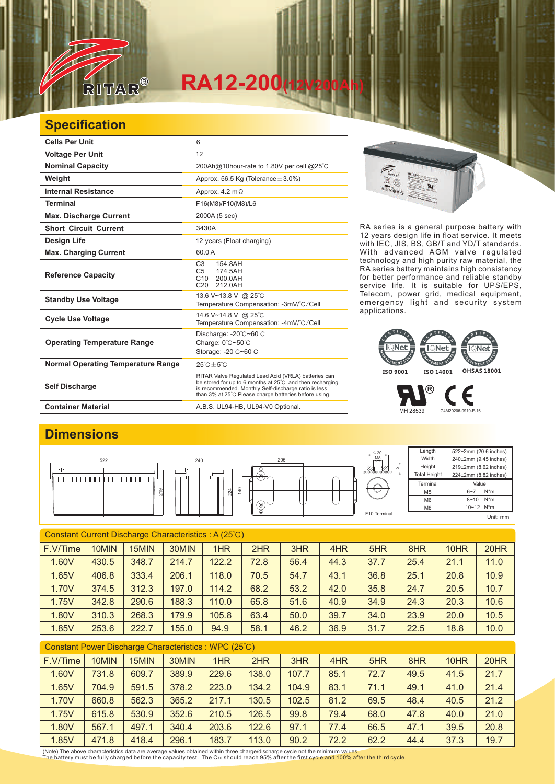

## **RA12-200(12V200Ah)**

## **Specification**

| <b>Cells Per Unit</b>                     | 6                                                                                                                                                                                                                                  |
|-------------------------------------------|------------------------------------------------------------------------------------------------------------------------------------------------------------------------------------------------------------------------------------|
| <b>Voltage Per Unit</b>                   | 12                                                                                                                                                                                                                                 |
| <b>Nominal Capacity</b>                   | 200Ah@10hour-rate to 1.80V per cell @25°C                                                                                                                                                                                          |
| Weight                                    | Approx. 56.5 Kg (Tolerance $\pm$ 3.0%)                                                                                                                                                                                             |
| <b>Internal Resistance</b>                | Approx. $4.2 \text{ m}\Omega$                                                                                                                                                                                                      |
| <b>Terminal</b>                           | F16(M8)/F10(M8)/L6                                                                                                                                                                                                                 |
| <b>Max. Discharge Current</b>             | 2000A (5 sec)                                                                                                                                                                                                                      |
| <b>Short Circuit Current</b>              | 3430A                                                                                                                                                                                                                              |
| <b>Design Life</b>                        | 12 years (Float charging)                                                                                                                                                                                                          |
| <b>Max. Charging Current</b>              | 60.0A                                                                                                                                                                                                                              |
| <b>Reference Capacity</b>                 | C <sub>3</sub><br>154.8AH<br>C <sub>5</sub><br>174.5AH<br>C <sub>10</sub><br>200.0AH<br>C20<br>212.0AH                                                                                                                             |
| <b>Standby Use Voltage</b>                | 13.6 V~13.8 V @ 25°C<br>Temperature Compensation: -3mV/°C/Cell                                                                                                                                                                     |
| <b>Cycle Use Voltage</b>                  | 14.6 V~14.8 V @ 25°C<br>Temperature Compensation: -4mV/°C/Cell                                                                                                                                                                     |
| <b>Operating Temperature Range</b>        | Discharge: -20°C~60°C<br>Charge: 0°C~50°C<br>Storage: -20°C~60°C                                                                                                                                                                   |
| <b>Normal Operating Temperature Range</b> | $25^{\circ}$ C + 5 $^{\circ}$ C                                                                                                                                                                                                    |
| <b>Self Discharge</b>                     | RITAR Valve Regulated Lead Acid (VRLA) batteries can<br>be stored for up to 6 months at 25°C and then recharging<br>is recommended. Monthly Self-discharge ratio is less<br>than 3% at 25°C. Please charge batteries before using. |
| <b>Container Material</b>                 | A.B.S. UL94-HB, UL94-V0 Optional.                                                                                                                                                                                                  |



 $\overline{\mathbf{R}}$ 



applications.

® Є MH 28539 G4M20206-0910-E-16

## **Dimensions**



| Constant Current Discharge Characteristics: A (25°C) |       |       |       |       |      |      |      |      |      |      |      |
|------------------------------------------------------|-------|-------|-------|-------|------|------|------|------|------|------|------|
| F.V/Time                                             | 10MIN | 15MIN | 30MIN | 1HR   | 2HR  | 3HR  | 4HR  | 5HR  | 8HR  | 10HR | 20HR |
| 1.60V                                                | 430.5 | 348.7 | 214.7 | 122.2 | 72.8 | 56.4 | 44.3 | 37.7 | 25.4 | 21.1 | 11.0 |
| 1.65V                                                | 406.8 | 333.4 | 206.1 | 118.0 | 70.5 | 54.7 | 43.1 | 36.8 | 25.1 | 20.8 | 10.9 |
| 1.70V                                                | 374.5 | 312.3 | 197.0 | 114.2 | 68.2 | 53.2 | 42.0 | 35.8 | 24.7 | 20.5 | 10.7 |
| 1.75V                                                | 342.8 | 290.6 | 188.3 | 110.0 | 65.8 | 51.6 | 40.9 | 34.9 | 24.3 | 20.3 | 10.6 |
| 1.80V                                                | 310.3 | 268.3 | 179.9 | 105.8 | 63.4 | 50.0 | 39.7 | 34.0 | 23.9 | 20.0 | 10.5 |
| 1.85V                                                | 253.6 | 222.7 | 155.0 | 94.9  | 58.1 | 46.2 | 36.9 | 31.7 | 22.5 | 18.8 | 10.0 |

| Constant Power Discharge Characteristics : WPC (25°C) |  |  |  |
|-------------------------------------------------------|--|--|--|
|-------------------------------------------------------|--|--|--|

| F.V/Time | <b>IOMIN</b> | 15MIN | 30MIN | 1HR   | 2HR   | 3HR   | 4HR  | 5HR  | 8HR  | 10HR | 20HR |
|----------|--------------|-------|-------|-------|-------|-------|------|------|------|------|------|
| 1.60V    | 731.8        | 609.7 | 389.9 | 229.6 | 138.0 | 107.7 | 85.1 | 72.7 | 49.5 | 41.5 | 21.7 |
| 1.65V    | 704.9        | 591.5 | 378.2 | 223.0 | 134.2 | 104.9 | 83.1 | 71.1 | 49.1 | 41.0 | 21.4 |
| 1.70V    | 660.8        | 562.3 | 365.2 | 217.1 | 130.5 | 102.5 | 81.2 | 69.5 | 48.4 | 40.5 | 21.2 |
| 1.75V    | 615.8        | 530.9 | 352.6 | 210.5 | 126.5 | 99.8  | 79.4 | 68.0 | 47.8 | 40.0 | 21.0 |
| 1.80V    | 567.1        | 497.1 | 340.4 | 203.6 | 122.6 | 97.1  | 77.4 | 66.5 | 47.1 | 39.5 | 20.8 |
| 1.85V    | 471.8        | 418.4 | 296.1 | 183.7 | 113.0 | 90.2  | 72.2 | 62.2 | 44.4 | 37.3 | 19.7 |

(Note) The above characteristics data are average values obtained within three charge/discharge cycle not the minimum values.<br>The battery must be fully charged before the capacity test. The C10 should reach 95% after the